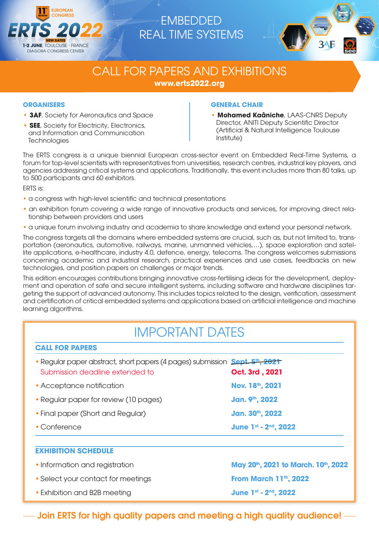

# EMBEDDED REAL TIME SYSTEMS



# CALL FOR PAPERS AND EXHIBITIONS **www.erts2022.org**

## **ORGANISERS**

- **3AF**, Society for Aeronautics and Space
- **SEE**, Society for Electricity, Electronics, and Information and Communication **Technologies**

## **GENERAL CHAIR**

**• Mohamed Kaâniche**, LAAS-CNRS Deputy Director, ANITI Deputy Scientific Director (Artificial & Natural Intelligence Toulouse Institute)

The ERTS congress is a unique biennial European cross-sector event on Embedded Real-Time Systems, a forum for top-level scientists with representatives from universities, research centres, industrial key players, and agencies addressing critical systems and applications. Traditionally, this event includes more than 80 talks, up to 500 participants and 60 exhibitors.

ERTS is:

- a congress with high-level scientific and technical presentations
- an exhibition forum covering a wide range of innovative products and services, for improving direct relationship between providers and users
- a unique forum involving industry and academia to share knowledge and extend your personal network.

The congress targets all the domains where embedded systems are crucial, such as, but not limited to, transportation (aeronautics, automotive, railways, marine, unmanned vehicles,…), space exploration and satellite applications, e-healthcare, industry 4.0, defence, energy, telecoms. The congress welcomes submissions concerning academic and industrial research, practical experiences and use cases, feedbacks on new technologies, and position papers on challenges or major trends.

This edition encourages contributions bringing innovative cross-fertilising ideas for the development, deployment and operation of safe and secure intelligent systems, including software and hardware disciplines targeting the support of advanced autonomy. This includes topics related to the design, verification, assessment and certification of critical embedded systems and applications based on artificial intelligence and machine learning algorithms.

# IMPORTANT DATES

| <b>CALL FOR PAPERS</b>                                                                                                |                                                               |
|-----------------------------------------------------------------------------------------------------------------------|---------------------------------------------------------------|
| • Regular paper abstract, short papers (4 pages) submission <b>Sept. 5th, 2021</b><br>Submission deadline extended to | Oct. 3rd, 2021                                                |
| • Acceptance notification                                                                                             | Nov. 18th, 2021                                               |
| • Regular paper for review (10 pages)                                                                                 | Jan. 9 <sup>th</sup> , 2022                                   |
| • Final paper (Short and Regular)                                                                                     | Jan. 30th, 2022                                               |
| • Conference                                                                                                          | June 1st - 2nd, 2022                                          |
| <b>EXHIBITION SCHEDULE</b>                                                                                            |                                                               |
| • Information and registration                                                                                        | May 20 <sup>th</sup> , 2021 to March. 10 <sup>th</sup> , 2022 |
| • Select your contact for meetings                                                                                    | <b>From March 11th, 2022</b>                                  |
| • Exhibition and B2B meeting                                                                                          | June 1st - 2nd, 2022                                          |

 $-$  Join ERTS for high quality papers and meeting a high quality audience!  $-$